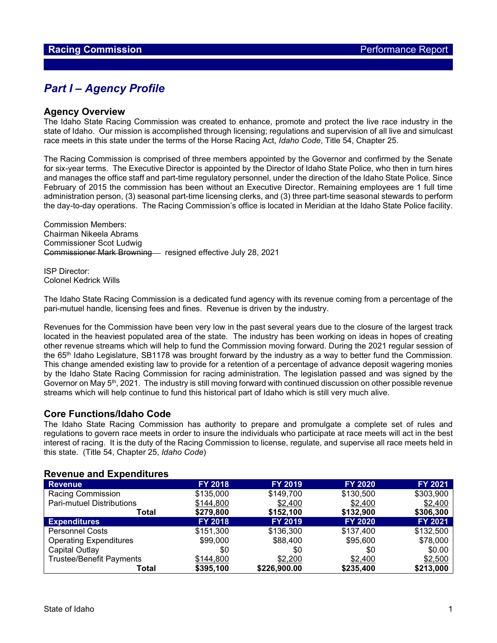## *Part I – Agency Profile*

#### **Agency Overview**

The Idaho State Racing Commission was created to enhance, promote and protect the live race industry in the state of Idaho. Our mission is accomplished through licensing; regulations and supervision of all live and simulcast race meets in this state under the terms of the Horse Racing Act, *Idaho Code*, Title 54, Chapter 25.

The Racing Commission is comprised of three members appointed by the Governor and confirmed by the Senate for six-year terms. The Executive Director is appointed by the Director of Idaho State Police, who then in turn hires and manages the office staff and part-time regulatory personnel, under the direction of the Idaho State Police. Since February of 2015 the commission has been without an Executive Director. Remaining employees are 1 full time administration person, (3) seasonal part-time licensing clerks, and (3) three part-time seasonal stewards to perform the day-to-day operations. The Racing Commission's office is located in Meridian at the Idaho State Police facility.

Commission Members: Chairman Nikeela Abrams Commissioner Scot Ludwig Commissioner Mark Browning - resigned effective July 28, 2021

ISP Director: Colonel Kedrick Wills

The Idaho State Racing Commission is a dedicated fund agency with its revenue coming from a percentage of the pari-mutuel handle, licensing fees and fines. Revenue is driven by the industry.

Revenues for the Commission have been very low in the past several years due to the closure of the largest track located in the heaviest populated area of the state. The industry has been working on ideas in hopes of creating other revenue streams which will help to fund the Commission moving forward. During the 2021 regular session of the 65th Idaho Legislature, SB1178 was brought forward by the industry as a way to better fund the Commission. This change amended existing law to provide for a retention of a percentage of advance deposit wagering monies by the Idaho State Racing Commission for racing administration. The legislation passed and was signed by the Governor on May  $5<sup>th</sup>$ , 2021. The industry is still moving forward with continued discussion on other possible revenue streams which will help continue to fund this historical part of Idaho which is still very much alive.

#### **Core Functions/Idaho Code**

The Idaho State Racing Commission has authority to prepare and promulgate a complete set of rules and regulations to govern race meets in order to insure the individuals who participate at race meets will act in the best interest of racing. It is the duty of the Racing Commission to license, regulate, and supervise all race meets held in this state. (Title 54, Chapter 25, *Idaho Code*)

#### **Revenue and Expenditures**

| <b>Revenue</b>                   | <b>FY 2018</b> | <b>FY 2019</b> | <b>FY 2020</b> | FY 2021        |
|----------------------------------|----------------|----------------|----------------|----------------|
| <b>Racing Commission</b>         | \$135,000      | \$149,700      | \$130,500      | \$303,900      |
| <b>Pari-mutuel Distributions</b> | \$144,800      | \$2,400        | \$2,400        | \$2,400        |
| Total                            | \$279,800      | \$152,100      | \$132,900      | \$306,300      |
| <b>Expenditures</b>              | <b>FY 2018</b> | <b>FY 2019</b> | <b>FY 2020</b> | <b>FY 2021</b> |
| <b>Personnel Costs</b>           | \$151,300      | \$136,300      | \$137,400      | \$132,500      |
| <b>Operating Expenditures</b>    | \$99,000       | \$88,400       | \$95,600       | \$78,000       |
| Capital Outlay                   | \$0            | \$0            | \$0            | \$0.00         |
| <b>Trustee/Benefit Payments</b>  | \$144,800      | \$2,200        | \$2,400        | \$2,500        |
| Total                            | \$395,100      | \$226,900.00   | \$235,400      | \$213,000      |